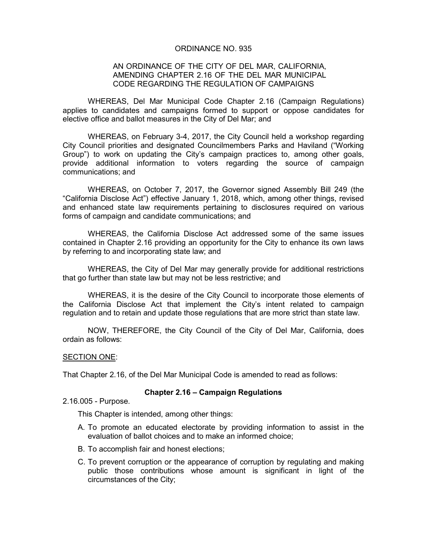# ORDINANCE NO. 935

# AN ORDINANCE OF THE CITY OF DEL MAR, CALIFORNIA, AMENDING CHAPTER 2.16 OF THE DEL MAR MUNICIPAL CODE REGARDING THE REGULATION OF CAMPAIGNS

WHEREAS, Del Mar Municipal Code Chapter 2.16 (Campaign Regulations) applies to candidates and campaigns formed to support or oppose candidates for elective office and ballot measures in the City of Del Mar; and

WHEREAS, on February 3-4, 2017, the City Council held a workshop regarding City Council priorities and designated Councilmembers Parks and Haviland ("Working Group") to work on updating the City's campaign practices to, among other goals, provide additional information to voters regarding the source of campaign communications; and

WHEREAS, on October 7, 2017, the Governor signed Assembly Bill 249 (the "California Disclose Act") effective January 1, 2018, which, among other things, revised and enhanced state law requirements pertaining to disclosures required on various forms of campaign and candidate communications; and

WHEREAS, the California Disclose Act addressed some of the same issues contained in Chapter 2.16 providing an opportunity for the City to enhance its own laws by referring to and incorporating state law; and

WHEREAS, the City of Del Mar may generally provide for additional restrictions that go further than state law but may not be less restrictive; and

WHEREAS, it is the desire of the City Council to incorporate those elements of the California Disclose Act that implement the City's intent related to campaign regulation and to retain and update those regulations that are more strict than state law.

NOW, THEREFORE, the City Council of the City of Del Mar, California, does ordain as follows:

### SECTION ONE:

That Chapter 2.16, of the Del Mar Municipal Code is amended to read as follows:

### **Chapter 2.16 – Campaign Regulations**

2.16.005 - Purpose.

This Chapter is intended, among other things:

- A. To promote an educated electorate by providing information to assist in the evaluation of ballot choices and to make an informed choice;
- B. To accomplish fair and honest elections;
- C. To prevent corruption or the appearance of corruption by regulating and making public those contributions whose amount is significant in light of the circumstances of the City;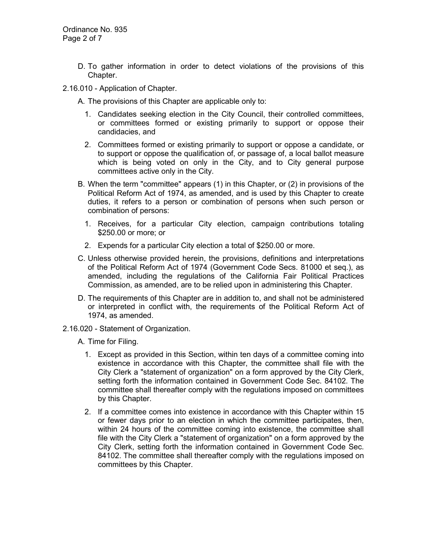- D. To gather information in order to detect violations of the provisions of this Chapter.
- 2.16.010 Application of Chapter.

A. The provisions of this Chapter are applicable only to:

- 1. Candidates seeking election in the City Council, their controlled committees, or committees formed or existing primarily to support or oppose their candidacies, and
- 2. Committees formed or existing primarily to support or oppose a candidate, or to support or oppose the qualification of, or passage of, a local ballot measure which is being voted on only in the City, and to City general purpose committees active only in the City.
- B. When the term "committee" appears (1) in this Chapter, or (2) in provisions of the Political Reform Act of 1974, as amended, and is used by this Chapter to create duties, it refers to a person or combination of persons when such person or combination of persons:
	- 1. Receives, for a particular City election, campaign contributions totaling \$250.00 or more; or
	- 2. Expends for a particular City election a total of \$250.00 or more.
- C. Unless otherwise provided herein, the provisions, definitions and interpretations of the Political Reform Act of 1974 (Government Code Secs. 81000 et seq.), as amended, including the regulations of the California Fair Political Practices Commission, as amended, are to be relied upon in administering this Chapter.
- D. The requirements of this Chapter are in addition to, and shall not be administered or interpreted in conflict with, the requirements of the Political Reform Act of 1974, as amended.
- 2.16.020 Statement of Organization.

A. Time for Filing.

- 1. Except as provided in this Section, within ten days of a committee coming into existence in accordance with this Chapter, the committee shall file with the City Clerk a "statement of organization" on a form approved by the City Clerk, setting forth the information contained in Government Code Sec. 84102. The committee shall thereafter comply with the regulations imposed on committees by this Chapter.
- 2. If a committee comes into existence in accordance with this Chapter within 15 or fewer days prior to an election in which the committee participates, then, within 24 hours of the committee coming into existence, the committee shall file with the City Clerk a "statement of organization" on a form approved by the City Clerk, setting forth the information contained in Government Code Sec. 84102. The committee shall thereafter comply with the regulations imposed on committees by this Chapter.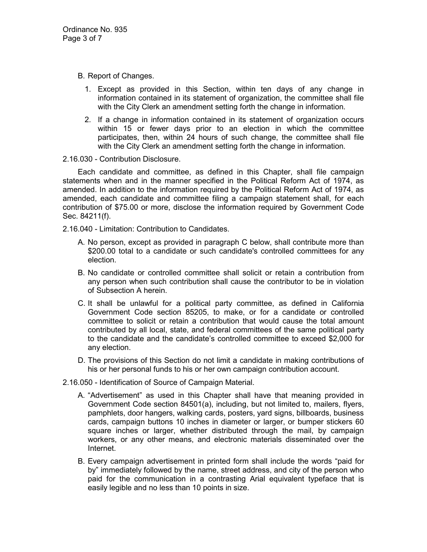- B. Report of Changes.
	- 1. Except as provided in this Section, within ten days of any change in information contained in its statement of organization, the committee shall file with the City Clerk an amendment setting forth the change in information.
	- 2. If a change in information contained in its statement of organization occurs within 15 or fewer days prior to an election in which the committee participates, then, within 24 hours of such change, the committee shall file with the City Clerk an amendment setting forth the change in information.

2.16.030 - Contribution Disclosure.

Each candidate and committee, as defined in this Chapter, shall file campaign statements when and in the manner specified in the Political Reform Act of 1974, as amended. In addition to the information required by the Political Reform Act of 1974, as amended, each candidate and committee filing a campaign statement shall, for each contribution of \$75.00 or more, disclose the information required by Government Code Sec. 84211(f).

2.16.040 - Limitation: Contribution to Candidates.

- A. No person, except as provided in paragraph C below, shall contribute more than \$200.00 total to a candidate or such candidate's controlled committees for any election.
- B. No candidate or controlled committee shall solicit or retain a contribution from any person when such contribution shall cause the contributor to be in violation of Subsection A herein.
- C. It shall be unlawful for a political party committee, as defined in California Government Code section 85205, to make, or for a candidate or controlled committee to solicit or retain a contribution that would cause the total amount contributed by all local, state, and federal committees of the same political party to the candidate and the candidate's controlled committee to exceed \$2,000 for any election.
- D. The provisions of this Section do not limit a candidate in making contributions of his or her personal funds to his or her own campaign contribution account.
- 2.16.050 Identification of Source of Campaign Material.
	- A. "Advertisement" as used in this Chapter shall have that meaning provided in Government Code section 84501(a), including, but not limited to, mailers, flyers, pamphlets, door hangers, walking cards, posters, yard signs, billboards, business cards, campaign buttons 10 inches in diameter or larger, or bumper stickers 60 square inches or larger, whether distributed through the mail, by campaign workers, or any other means, and electronic materials disseminated over the Internet.
	- B. Every campaign advertisement in printed form shall include the words "paid for by" immediately followed by the name, street address, and city of the person who paid for the communication in a contrasting Arial equivalent typeface that is easily legible and no less than 10 points in size.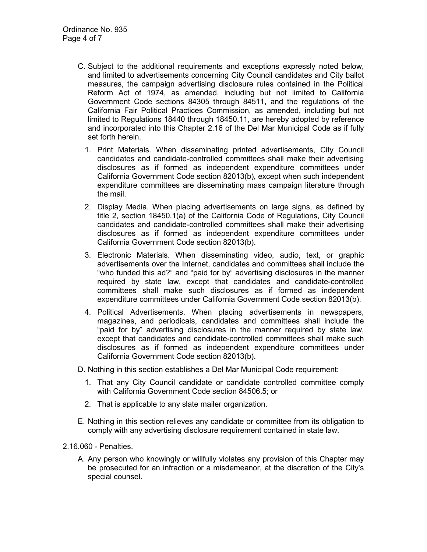- C. Subject to the additional requirements and exceptions expressly noted below, and limited to advertisements concerning City Council candidates and City ballot measures, the campaign advertising disclosure rules contained in the Political Reform Act of 1974, as amended, including but not limited to California Government Code sections 84305 through 84511, and the regulations of the California Fair Political Practices Commission, as amended, including but not limited to Regulations 18440 through 18450.11, are hereby adopted by reference and incorporated into this Chapter 2.16 of the Del Mar Municipal Code as if fully set forth herein.
	- 1. Print Materials. When disseminating printed advertisements, City Council candidates and candidate-controlled committees shall make their advertising disclosures as if formed as independent expenditure committees under California Government Code section 82013(b), except when such independent expenditure committees are disseminating mass campaign literature through the mail.
	- 2. Display Media. When placing advertisements on large signs, as defined by title 2, section 18450.1(a) of the California Code of Regulations, City Council candidates and candidate-controlled committees shall make their advertising disclosures as if formed as independent expenditure committees under California Government Code section 82013(b).
	- 3. Electronic Materials. When disseminating video, audio, text, or graphic advertisements over the Internet, candidates and committees shall include the "who funded this ad?" and "paid for by" advertising disclosures in the manner required by state law, except that candidates and candidate-controlled committees shall make such disclosures as if formed as independent expenditure committees under California Government Code section 82013(b).
	- 4. Political Advertisements. When placing advertisements in newspapers, magazines, and periodicals, candidates and committees shall include the "paid for by" advertising disclosures in the manner required by state law, except that candidates and candidate-controlled committees shall make such disclosures as if formed as independent expenditure committees under California Government Code section 82013(b).
- D. Nothing in this section establishes a Del Mar Municipal Code requirement:
	- 1. That any City Council candidate or candidate controlled committee comply with California Government Code section 84506.5; or
	- 2. That is applicable to any slate mailer organization.
- E. Nothing in this section relieves any candidate or committee from its obligation to comply with any advertising disclosure requirement contained in state law.
- 2.16.060 Penalties.
	- A. Any person who knowingly or willfully violates any provision of this Chapter may be prosecuted for an infraction or a misdemeanor, at the discretion of the City's special counsel.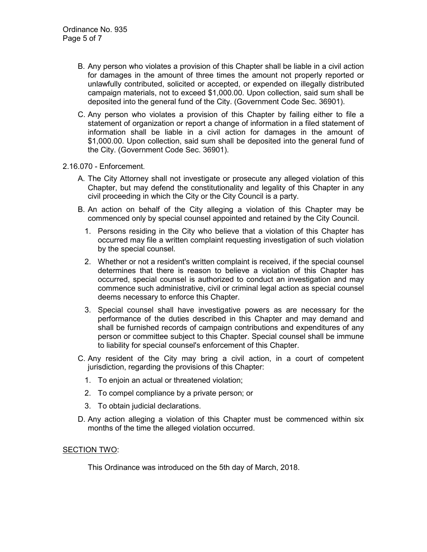- B. Any person who violates a provision of this Chapter shall be liable in a civil action for damages in the amount of three times the amount not properly reported or unlawfully contributed, solicited or accepted, or expended on illegally distributed campaign materials, not to exceed \$1,000.00. Upon collection, said sum shall be deposited into the general fund of the City. (Government Code Sec. 36901).
- C. Any person who violates a provision of this Chapter by failing either to file a statement of organization or report a change of information in a filed statement of information shall be liable in a civil action for damages in the amount of \$1,000.00. Upon collection, said sum shall be deposited into the general fund of the City. (Government Code Sec. 36901).
- 2.16.070 Enforcement.
	- A. The City Attorney shall not investigate or prosecute any alleged violation of this Chapter, but may defend the constitutionality and legality of this Chapter in any civil proceeding in which the City or the City Council is a party.
	- B. An action on behalf of the City alleging a violation of this Chapter may be commenced only by special counsel appointed and retained by the City Council.
		- 1. Persons residing in the City who believe that a violation of this Chapter has occurred may file a written complaint requesting investigation of such violation by the special counsel.
		- 2. Whether or not a resident's written complaint is received, if the special counsel determines that there is reason to believe a violation of this Chapter has occurred, special counsel is authorized to conduct an investigation and may commence such administrative, civil or criminal legal action as special counsel deems necessary to enforce this Chapter.
		- 3. Special counsel shall have investigative powers as are necessary for the performance of the duties described in this Chapter and may demand and shall be furnished records of campaign contributions and expenditures of any person or committee subject to this Chapter. Special counsel shall be immune to liability for special counsel's enforcement of this Chapter.
	- C. Any resident of the City may bring a civil action, in a court of competent jurisdiction, regarding the provisions of this Chapter:
		- 1. To enjoin an actual or threatened violation;
		- 2. To compel compliance by a private person; or
		- 3. To obtain judicial declarations.
	- D. Any action alleging a violation of this Chapter must be commenced within six months of the time the alleged violation occurred.

### SECTION TWO:

This Ordinance was introduced on the 5th day of March, 2018.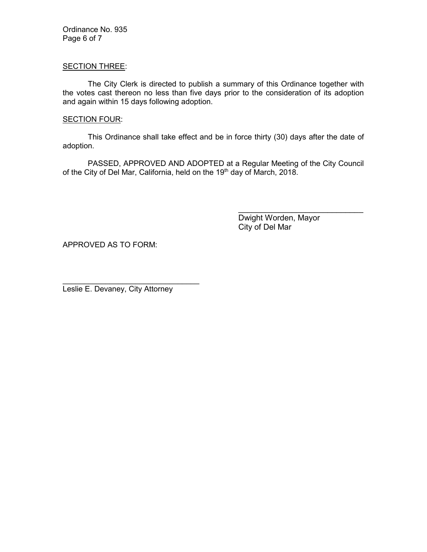Ordinance No. 935 Page 6 of 7

### SECTION THREE:

The City Clerk is directed to publish a summary of this Ordinance together with the votes cast thereon no less than five days prior to the consideration of its adoption and again within 15 days following adoption.

#### **SECTION FOUR:**

This Ordinance shall take effect and be in force thirty (30) days after the date of adoption.

PASSED, APPROVED AND ADOPTED at a Regular Meeting of the City Council of the City of Del Mar, California, held on the 19<sup>th</sup> day of March, 2018.

> Dwight Worden, Mayor City of Del Mar

\_\_\_\_\_\_\_\_\_\_\_\_\_\_\_\_\_\_\_\_\_\_\_\_\_\_\_\_

APPROVED AS TO FORM:

Leslie E. Devaney, City Attorney

\_\_\_\_\_\_\_\_\_\_\_\_\_\_\_\_\_\_\_\_\_\_\_\_\_\_\_\_\_\_\_\_